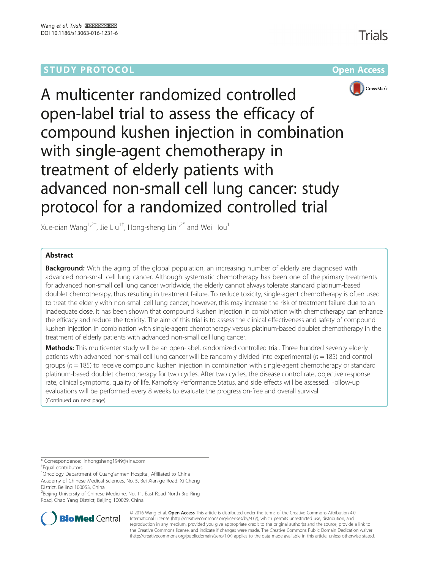# **STUDY PROTOCOL CONSUMING THE RESERVE ACCESS**



A multicenter randomized controlled open-label trial to assess the efficacy of compound kushen injection in combination with single-agent chemotherapy in treatment of elderly patients with advanced non-small cell lung cancer: study protocol for a randomized controlled trial

Xue-qian Wang $^{1,2^+}$ , Jie Liu $^{1^+}$ , Hong-sheng Lin $^{1,2^*}$  and Wei Hou $^1$ 

# Abstract

**Background:** With the aging of the global population, an increasing number of elderly are diagnosed with advanced non-small cell lung cancer. Although systematic chemotherapy has been one of the primary treatments for advanced non-small cell lung cancer worldwide, the elderly cannot always tolerate standard platinum-based doublet chemotherapy, thus resulting in treatment failure. To reduce toxicity, single-agent chemotherapy is often used to treat the elderly with non-small cell lung cancer; however, this may increase the risk of treatment failure due to an inadequate dose. It has been shown that compound kushen injection in combination with chemotherapy can enhance the efficacy and reduce the toxicity. The aim of this trial is to assess the clinical effectiveness and safety of compound kushen injection in combination with single-agent chemotherapy versus platinum-based doublet chemotherapy in the treatment of elderly patients with advanced non-small cell lung cancer.

Methods: This multicenter study will be an open-label, randomized controlled trial. Three hundred seventy elderly patients with advanced non-small cell lung cancer will be randomly divided into experimental ( $n = 185$ ) and control groups ( $n = 185$ ) to receive compound kushen injection in combination with single-agent chemotherapy or standard platinum-based doublet chemotherapy for two cycles. After two cycles, the disease control rate, objective response rate, clinical symptoms, quality of life, Karnofsky Performance Status, and side effects will be assessed. Follow-up evaluations will be performed every 8 weeks to evaluate the progression-free and overall survival. (Continued on next page)

<sup>2</sup>Beijing University of Chinese Medicine, No. 11, East Road North 3rd Ring Road, Chao Yang District, Beijing 100029, China



© 2016 Wang et al. Open Access This article is distributed under the terms of the Creative Commons Attribution 4.0 International License [\(http://creativecommons.org/licenses/by/4.0/](http://creativecommons.org/licenses/by/4.0/)), which permits unrestricted use, distribution, and reproduction in any medium, provided you give appropriate credit to the original author(s) and the source, provide a link to the Creative Commons license, and indicate if changes were made. The Creative Commons Public Domain Dedication waiver [\(http://creativecommons.org/publicdomain/zero/1.0/](http://creativecommons.org/publicdomain/zero/1.0/)) applies to the data made available in this article, unless otherwise stated.

<sup>\*</sup> Correspondence: [linhongsheng1949@sina.com](mailto:linhongsheng1949@sina.com) †

Equal contributors

<sup>&</sup>lt;sup>1</sup>Oncology Department of Guang'anmen Hospital, Affiliated to China Academy of Chinese Medical Sciences, No. 5, Bei Xian-ge Road, Xi Cheng District, Beijing 100053, China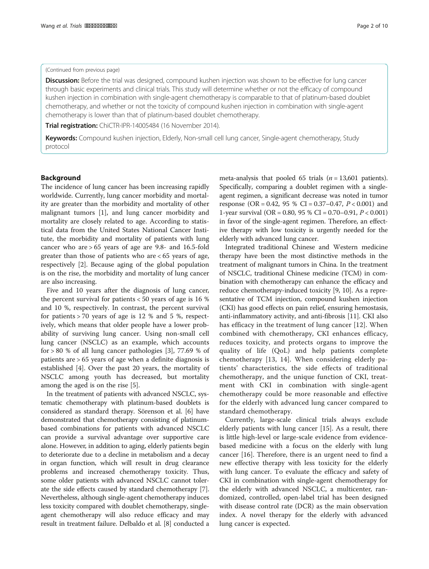### (Continued from previous page)

Discussion: Before the trial was designed, compound kushen injection was shown to be effective for lung cancer through basic experiments and clinical trials. This study will determine whether or not the efficacy of compound kushen injection in combination with single-agent chemotherapy is comparable to that of platinum-based doublet chemotherapy, and whether or not the toxicity of compound kushen injection in combination with single-agent chemotherapy is lower than that of platinum-based doublet chemotherapy.

Trial registration: [ChiCTR-IPR-14005484](http://www.chictr.org.cn/showproj.aspx?proj=9851) (16 November 2014).

Keywords: Compound kushen injection, Elderly, Non-small cell lung cancer, Single-agent chemotherapy, Study protocol

### Background

The incidence of lung cancer has been increasing rapidly worldwide. Currently, lung cancer morbidity and mortality are greater than the morbidity and mortality of other malignant tumors [\[1\]](#page-8-0), and lung cancer morbidity and mortality are closely related to age. According to statistical data from the United States National Cancer Institute, the morbidity and mortality of patients with lung cancer who are > 65 years of age are 9.8- and 16.5-fold greater than those of patients who are < 65 years of age, respectively [[2\]](#page-8-0). Because aging of the global population is on the rise, the morbidity and mortality of lung cancer are also increasing.

Five and 10 years after the diagnosis of lung cancer, the percent survival for patients < 50 years of age is 16 % and 10 %, respectively. In contrast, the percent survival for patients > 70 years of age is 12 % and 5 %, respectively, which means that older people have a lower probability of surviving lung cancer. Using non-small cell lung cancer (NSCLC) as an example, which accounts for  $> 80$  % of all lung cancer pathologies [\[3](#page-8-0)], 77.69 % of patients are > 65 years of age when a definite diagnosis is established [\[4](#page-8-0)]. Over the past 20 years, the mortality of NSCLC among youth has decreased, but mortality among the aged is on the rise [\[5\]](#page-8-0).

In the treatment of patients with advanced NSCLC, systematic chemotherapy with platinum-based doublets is considered as standard therapy. Sörenson et al. [\[6](#page-8-0)] have demonstrated that chemotherapy consisting of platinumbased combinations for patients with advanced NSCLC can provide a survival advantage over supportive care alone. However, in addition to aging, elderly patients begin to deteriorate due to a decline in metabolism and a decay in organ function, which will result in drug clearance problems and increased chemotherapy toxicity. Thus, some older patients with advanced NSCLC cannot tolerate the side effects caused by standard chemotherapy [[7](#page-8-0)]. Nevertheless, although single-agent chemotherapy induces less toxicity compared with doublet chemotherapy, singleagent chemotherapy will also reduce efficacy and may result in treatment failure. Delbaldo et al. [\[8](#page-8-0)] conducted a

meta-analysis that pooled 65 trials ( $n = 13,601$  patients). Specifically, comparing a doublet regimen with a singleagent regimen, a significant decrease was noted in tumor response (OR = 0.42, 95 % CI = 0.37–0.47,  $P < 0.001$ ) and 1-year survival (OR = 0.80, 95 % CI = 0.70–0.91,  $P < 0.001$ ) in favor of the single-agent regimen. Therefore, an effective therapy with low toxicity is urgently needed for the elderly with advanced lung cancer.

Integrated traditional Chinese and Western medicine therapy have been the most distinctive methods in the treatment of malignant tumors in China. In the treatment of NSCLC, traditional Chinese medicine (TCM) in combination with chemotherapy can enhance the efficacy and reduce chemotherapy-induced toxicity [[9](#page-8-0), [10](#page-8-0)]. As a representative of TCM injection, compound kushen injection (CKI) has good effects on pain relief, ensuring hemostasis, anti-inflammatory activity, and anti-fibrosis [[11](#page-8-0)]. CKI also has efficacy in the treatment of lung cancer [\[12\]](#page-8-0). When combined with chemotherapy, CKI enhances efficacy, reduces toxicity, and protects organs to improve the quality of life (QoL) and help patients complete chemotherapy [[13](#page-8-0), [14](#page-8-0)]. When considering elderly patients' characteristics, the side effects of traditional chemotherapy, and the unique function of CKI, treatment with CKI in combination with single-agent chemotherapy could be more reasonable and effective for the elderly with advanced lung cancer compared to standard chemotherapy.

Currently, large-scale clinical trials always exclude elderly patients with lung cancer [[15\]](#page-8-0). As a result, there is little high-level or large-scale evidence from evidencebased medicine with a focus on the elderly with lung cancer [\[16\]](#page-8-0). Therefore, there is an urgent need to find a new effective therapy with less toxicity for the elderly with lung cancer. To evaluate the efficacy and safety of CKI in combination with single-agent chemotherapy for the elderly with advanced NSCLC, a multicenter, randomized, controlled, open-label trial has been designed with disease control rate (DCR) as the main observation index. A novel therapy for the elderly with advanced lung cancer is expected.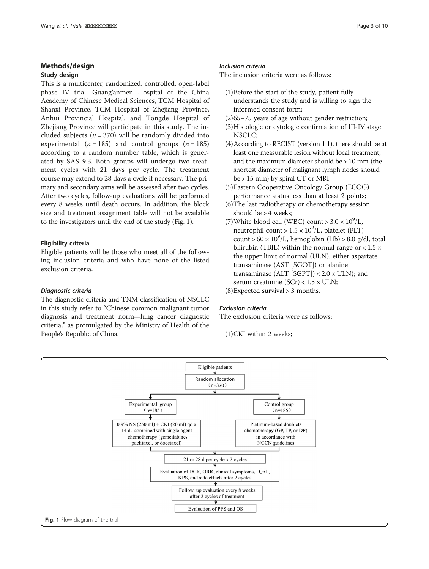### Methods/design

### Study design

This is a multicenter, randomized, controlled, open-label phase IV trial. Guang'anmen Hospital of the China Academy of Chinese Medical Sciences, TCM Hospital of Shanxi Province, TCM Hospital of Zhejiang Province, Anhui Provincial Hospital, and Tongde Hospital of Zhejiang Province will participate in this study. The included subjects ( $n = 370$ ) will be randomly divided into experimental  $(n = 185)$  and control groups  $(n = 185)$ according to a random number table, which is generated by SAS 9.3. Both groups will undergo two treatment cycles with 21 days per cycle. The treatment course may extend to 28 days a cycle if necessary. The primary and secondary aims will be assessed after two cycles. After two cycles, follow-up evaluations will be performed every 8 weeks until death occurs. In addition, the block size and treatment assignment table will not be available to the investigators until the end of the study (Fig. 1).

### Eligibility criteria

Eligible patients will be those who meet all of the following inclusion criteria and who have none of the listed exclusion criteria.

The diagnostic criteria and TNM classification of NSCLC in this study refer to "Chinese common malignant tumor diagnosis and treatment norm—lung cancer diagnostic criteria," as promulgated by the Ministry of Health of the People's Republic of China.

### Inclusion criteria

The inclusion criteria were as follows:

- (1)Before the start of the study, patient fully understands the study and is willing to sign the informed consent form;
- (2)65–75 years of age without gender restriction;
- (3)Histologic or cytologic confirmation of III-IV stage NSCLC;
- (4)According to RECIST (version 1.1), there should be at least one measurable lesion without local treatment, and the maximum diameter should be > 10 mm (the shortest diameter of malignant lymph nodes should be > 15 mm) by spiral CT or MRI;
- (5)Eastern Cooperative Oncology Group (ECOG) performance status less than at least 2 points;
- (6)The last radiotherapy or chemotherapy session should be > 4 weeks;
- (7) White blood cell (WBC) count  $> 3.0 \times 10^9$ /L, neutrophil count >  $1.5 \times 10^9$ /L, platelet (PLT) count >  $60 \times 10^9$ /L, hemoglobin (Hb) > 8.0 g/dl, total bilirubin (TBIL) within the normal range or  $< 1.5 \times$ the upper limit of normal (ULN), either aspartate transaminase (AST [SGOT]) or alanine transaminase (ALT [SGPT]) <  $2.0 \times$  ULN); and serum creatinine  $(SCr) < 1.5 \times ULN$ ;

### **Exclusion criteria**

The exclusion criteria were as follows:

(1)CKI within 2 weeks;



<sup>(8)</sup>Expected survival > 3 months.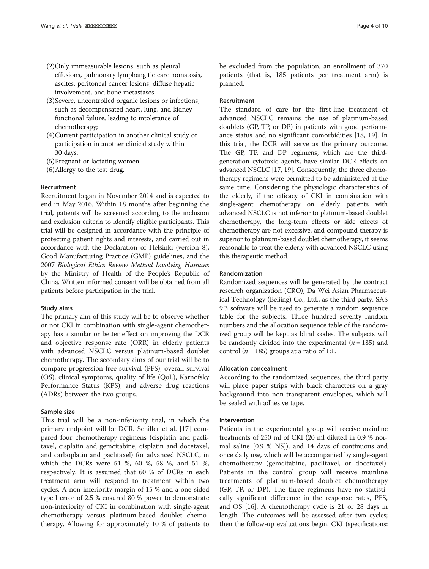- (2)Only immeasurable lesions, such as pleural effusions, pulmonary lymphangitic carcinomatosis, ascites, peritoneal cancer lesions, diffuse hepatic involvement, and bone metastases;
- (3)Severe, uncontrolled organic lesions or infections, such as decompensated heart, lung, and kidney functional failure, leading to intolerance of chemotherapy;
- (4)Current participation in another clinical study or participation in another clinical study within 30 days;
- (5)Pregnant or lactating women;
- (6)Allergy to the test drug.

### Recruitment

Recruitment began in November 2014 and is expected to end in May 2016. Within 18 months after beginning the trial, patients will be screened according to the inclusion and exclusion criteria to identify eligible participants. This trial will be designed in accordance with the principle of protecting patient rights and interests, and carried out in accordance with the Declaration of Helsinki (version 8), Good Manufacturing Practice (GMP) guidelines, and the 2007 Biological Ethics Review Method Involving Humans by the Ministry of Health of the People's Republic of China. Written informed consent will be obtained from all patients before participation in the trial.

### Study aims

The primary aim of this study will be to observe whether or not CKI in combination with single-agent chemotherapy has a similar or better effect on improving the DCR and objective response rate (ORR) in elderly patients with advanced NSCLC versus platinum-based doublet chemotherapy. The secondary aims of our trial will be to compare progression-free survival (PFS), overall survival (OS), clinical symptoms, quality of life (QoL), Karnofsky Performance Status (KPS), and adverse drug reactions (ADRs) between the two groups.

### Sample size

This trial will be a non-inferiority trial, in which the primary endpoint will be DCR. Schiller et al. [\[17](#page-8-0)] compared four chemotherapy regimens (cisplatin and paclitaxel, cisplatin and gemcitabine, cisplatin and docetaxel, and carboplatin and paclitaxel) for advanced NSCLC, in which the DCRs were 51 %, 60 %, 58 %, and 51 %, respectively. It is assumed that 60 % of DCRs in each treatment arm will respond to treatment within two cycles. A non-inferiority margin of 15 % and a one-sided type I error of 2.5 % ensured 80 % power to demonstrate non-inferiority of CKI in combination with single-agent chemotherapy versus platinum-based doublet chemotherapy. Allowing for approximately 10 % of patients to be excluded from the population, an enrollment of 370 patients (that is, 185 patients per treatment arm) is planned.

### Recruitment

The standard of care for the first-line treatment of advanced NSCLC remains the use of platinum-based doublets (GP, TP, or DP) in patients with good performance status and no significant comorbidities [\[18](#page-8-0), [19\]](#page-8-0). In this trial, the DCR will serve as the primary outcome. The GP, TP, and DP regimens, which are the thirdgeneration cytotoxic agents, have similar DCR effects on advanced NSCLC [\[17, 19](#page-8-0)]. Consequently, the three chemotherapy regimens were permitted to be administered at the same time. Considering the physiologic characteristics of the elderly, if the efficacy of CKI in combination with single-agent chemotherapy on elderly patients with advanced NSCLC is not inferior to platinum-based doublet chemotherapy, the long-term effects or side effects of chemotherapy are not excessive, and compound therapy is superior to platinum-based doublet chemotherapy, it seems reasonable to treat the elderly with advanced NSCLC using this therapeutic method.

### Randomization

Randomized sequences will be generated by the contract research organization (CRO), Da Wei Asian Pharmaceutical Technology (Beijing) Co., Ltd., as the third party. SAS 9.3 software will be used to generate a random sequence table for the subjects. Three hundred seventy random numbers and the allocation sequence table of the randomized group will be kept as blind codes. The subjects will be randomly divided into the experimental  $(n = 185)$  and control ( $n = 185$ ) groups at a ratio of 1:1.

### Allocation concealment

According to the randomized sequences, the third party will place paper strips with black characters on a gray background into non-transparent envelopes, which will be sealed with adhesive tape.

### Intervention

Patients in the experimental group will receive mainline treatments of 250 ml of CKI (20 ml diluted in 0.9 % normal saline [0.9 % NS]), and 14 days of continuous and once daily use, which will be accompanied by single-agent chemotherapy (gemcitabine, paclitaxel, or docetaxel). Patients in the control group will receive mainline treatments of platinum-based doublet chemotherapy (GP, TP, or DP). The three regimens have no statistically significant difference in the response rates, PFS, and OS [\[16](#page-8-0)]. A chemotherapy cycle is 21 or 28 days in length. The outcomes will be assessed after two cycles; then the follow-up evaluations begin. CKI (specifications: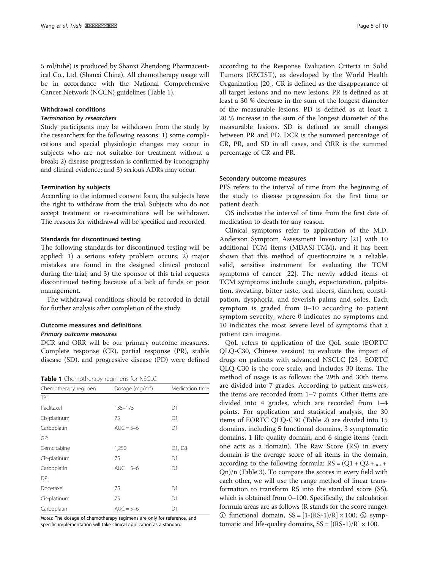5 ml/tube) is produced by Shanxi Zhendong Pharmaceutical Co., Ltd. (Shanxi China). All chemotherapy usage will be in accordance with the National Comprehensive Cancer Network (NCCN) guidelines (Table 1).

### Withdrawal conditions

Study participants may be withdrawn from the study by the researchers for the following reasons: 1) some complications and special physiologic changes may occur in subjects who are not suitable for treatment without a break; 2) disease progression is confirmed by iconography and clinical evidence; and 3) serious ADRs may occur.

### Termination by subjects

According to the informed consent form, the subjects have the right to withdraw from the trial. Subjects who do not accept treatment or re-examinations will be withdrawn. The reasons for withdrawal will be specified and recorded.

### Standards for discontinued testing

The following standards for discontinued testing will be applied: 1) a serious safety problem occurs; 2) major mistakes are found in the designed clinical protocol during the trial; and 3) the sponsor of this trial requests discontinued testing because of a lack of funds or poor management.

The withdrawal conditions should be recorded in detail for further analysis after completion of the study.

### Outcome measures and definitions

DCR and ORR will be our primary outcome measures. Complete response (CR), partial response (PR), stable disease (SD), and progressive disease (PD) were defined

|  |  | Table 1 Chemotherapy regimens for NSCLC |  |  |  |
|--|--|-----------------------------------------|--|--|--|
|--|--|-----------------------------------------|--|--|--|

| Chemotherapy regimen | Dosage (mg/m <sup>2</sup> ) | Medication time |
|----------------------|-----------------------------|-----------------|
| TP:                  |                             |                 |
| Paclitaxel           | $135 - 175$                 | D1              |
| Cis-platinum         | 75                          | D1              |
| Carboplatin          | AUC = $5-6$                 | D1              |
| GP:                  |                             |                 |
| Gemcitabine          | 1,250                       | D1, D8          |
| Cis-platinum         | 75                          | D1              |
| Carboplatin          | AUC = $5-6$                 | D1              |
| DP:                  |                             |                 |
| Docetaxel            | 75                          | D <sub>1</sub>  |
| Cis-platinum         | 75                          | D1              |
| Carboplatin          | $AUC = 5-6$                 | D1              |

Notes: The dosage of chemotherapy regimens are only for reference, and specific implementation will take clinical application as a standard

according to the Response Evaluation Criteria in Solid Tumors (RECIST), as developed by the World Health Organization [[20\]](#page-8-0). CR is defined as the disappearance of all target lesions and no new lesions. PR is defined as at least a 30 % decrease in the sum of the longest diameter of the measurable lesions. PD is defined as at least a 20 % increase in the sum of the longest diameter of the measurable lesions. SD is defined as small changes between PR and PD. DCR is the summed percentage of CR, PR, and SD in all cases, and ORR is the summed percentage of CR and PR.

### Secondary outcome measures

PFS refers to the interval of time from the beginning of the study to disease progression for the first time or patient death.

OS indicates the interval of time from the first date of medication to death for any reason.

Clinical symptoms refer to application of the M.D. Anderson Symptom Assessment Inventory [\[21](#page-8-0)] with 10 additional TCM items (MDASI-TCM), and it has been shown that this method of questionnaire is a reliable, valid, sensitive instrument for evaluating the TCM symptoms of cancer [[22\]](#page-8-0). The newly added items of TCM symptoms include cough, expectoration, palpitation, sweating, bitter taste, oral ulcers, diarrhea, constipation, dysphoria, and feverish palms and soles. Each symptom is graded from 0–10 according to patient symptom severity, where 0 indicates no symptoms and 10 indicates the most severe level of symptoms that a patient can imagine.

QoL refers to application of the QoL scale (EORTC QLQ-C30, Chinese version) to evaluate the impact of drugs on patients with advanced NSCLC [\[23\]](#page-8-0). EORTC QLQ-C30 is the core scale, and includes 30 items. The method of usage is as follows: the 29th and 30th items are divided into 7 grades. According to patient answers, the items are recorded from 1–7 points. Other items are divided into 4 grades, which are recorded from 1–4 points. For application and statistical analysis, the 30 items of EORTC QLQ-C30 (Table [2](#page-5-0)) are divided into 15 domains, including 5 functional domains, 3 symptomatic domains, 1 life-quality domain, and 6 single items (each one acts as a domain). The Raw Score (RS) in every domain is the average score of all items in the domain, according to the following formula:  $RS = (Q1 + Q2 + \ldots)$ Qn)/n (Table [3\)](#page-6-0). To compare the scores in every field with each other, we will use the range method of linear transformation to transform RS into the standard score (SS), which is obtained from 0–100. Specifically, the calculation formula areas are as follows (R stands for the score range):  $\odot$  functional domain, SS = [1-(RS-1)/R] × 100;  $\odot$  symptomatic and life-quality domains,  $SS = [(RS-1)/R] \times 100$ .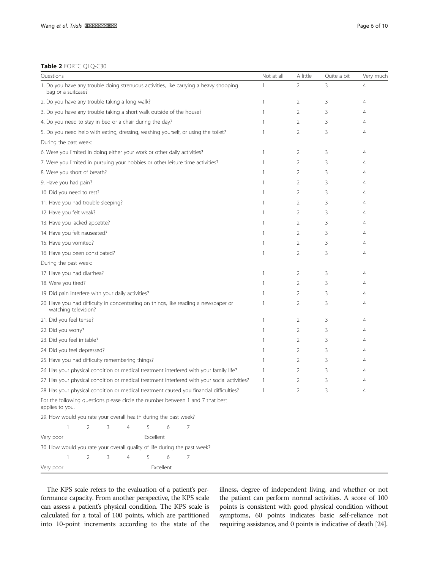### <span id="page-5-0"></span>Table 2 EORTC QLQ-C30

| Questions                                                                                         |                |   |                |           |                |                |                                                                                       | Not at all     | A little       | Quite a bit    | Very much      |
|---------------------------------------------------------------------------------------------------|----------------|---|----------------|-----------|----------------|----------------|---------------------------------------------------------------------------------------|----------------|----------------|----------------|----------------|
| bag or a suitcase?                                                                                |                |   |                |           |                |                | 1. Do you have any trouble doing strenuous activities, like carrying a heavy shopping | $\mathbf{1}$   | $\overline{2}$ | 3              | 4              |
| 2. Do you have any trouble taking a long walk?                                                    |                |   |                | 1         | 2              | 3              | $\overline{4}$                                                                        |                |                |                |                |
| 3. Do you have any trouble taking a short walk outside of the house?                              |                |   |                | 1         | $\overline{2}$ | 3              | $\overline{4}$                                                                        |                |                |                |                |
| 4. Do you need to stay in bed or a chair during the day?                                          |                |   |                | 1         | $\overline{2}$ | 3              | $\overline{4}$                                                                        |                |                |                |                |
| 5. Do you need help with eating, dressing, washing yourself, or using the toilet?                 |                |   |                |           |                |                |                                                                                       |                | $\overline{2}$ | 3              | 4              |
| During the past week:                                                                             |                |   |                |           |                |                |                                                                                       |                |                |                |                |
| 6. Were you limited in doing either your work or other daily activities?                          |                |   |                |           |                |                |                                                                                       |                | 2              | 3              | 4              |
| 7. Were you limited in pursuing your hobbies or other leisure time activities?                    |                |   |                |           |                |                |                                                                                       | 1              | 2              | 3              | 4              |
| 8. Were you short of breath?                                                                      |                |   |                |           |                |                |                                                                                       | 1              | 2              | 3              | $\overline{4}$ |
| 9. Have you had pain?                                                                             |                |   |                |           |                |                |                                                                                       | 1              | 2              | 3              | $\overline{4}$ |
| 10. Did you need to rest?                                                                         |                |   |                |           |                |                |                                                                                       |                | $\overline{2}$ | 3              | 4              |
| 11. Have you had trouble sleeping?                                                                |                |   |                |           |                |                |                                                                                       | 1              | $\overline{2}$ | 3              | $\overline{4}$ |
| 12. Have you felt weak?                                                                           |                |   |                |           |                |                |                                                                                       | 1              | $\overline{2}$ | 3              | $\overline{4}$ |
| 13. Have you lacked appetite?                                                                     |                |   |                |           |                |                |                                                                                       |                | $\overline{2}$ | 3              | 4              |
| 14. Have you felt nauseated?                                                                      |                |   |                |           |                |                |                                                                                       | 1              | $\overline{2}$ | 3              | $\overline{4}$ |
| 15. Have you vomited?                                                                             |                |   |                |           |                |                |                                                                                       | 1              | 2              | 3              | $\overline{4}$ |
| 16. Have you been constipated?                                                                    |                |   |                |           |                |                |                                                                                       |                | $\overline{2}$ | 3              | $\overline{4}$ |
| During the past week:                                                                             |                |   |                |           |                |                |                                                                                       |                |                |                |                |
| 17. Have you had diarrhea?                                                                        |                |   |                |           |                |                |                                                                                       | 1              | $\overline{2}$ | 3              | 4              |
| 18. Were you tired?                                                                               |                |   |                |           |                |                |                                                                                       | 1              | 2              | 3              | 4              |
| 19. Did pain interfere with your daily activities?                                                |                |   |                |           |                |                |                                                                                       | 1              | 2              | 3              | $\overline{4}$ |
| watching television?                                                                              |                |   |                |           |                |                | 20. Have you had difficulty in concentrating on things, like reading a newspaper or   | 1              | 2              | 3              | $\overline{4}$ |
| 21. Did you feel tense?                                                                           |                |   |                |           |                |                |                                                                                       | 1              | $\overline{2}$ | 3              | $\overline{4}$ |
| 22. Did you worry?                                                                                |                |   |                |           |                |                |                                                                                       | 1              | 2              | 3              | $\overline{4}$ |
| 23. Did you feel irritable?                                                                       |                |   |                |           |                |                |                                                                                       | 1              | $\overline{2}$ | 3              | $\overline{4}$ |
| 24. Did you feel depressed?                                                                       |                |   |                |           |                |                |                                                                                       | 1              | $\overline{2}$ | 3              | 4              |
| 25. Have you had difficulty remembering things?                                                   |                |   |                |           |                |                |                                                                                       | 1              | 2              | 3              | 4              |
| 26. Has your physical condition or medical treatment interfered with your family life?            |                |   |                |           |                |                |                                                                                       | 1              | 2              | 3              | $\overline{4}$ |
| 27. Has your physical condition or medical treatment interfered with your social activities?      |                |   |                |           |                |                |                                                                                       | $\mathbf{1}$   | $\overline{2}$ | 3              | 4              |
| 28. Has your physical condition or medical treatment caused you financial difficulties?           |                |   |                |           |                |                | $\mathbf{1}$                                                                          | $\overline{2}$ | 3              | $\overline{4}$ |                |
| For the following questions please circle the number between 1 and 7 that best<br>applies to you. |                |   |                |           |                |                |                                                                                       |                |                |                |                |
| 29. How would you rate your overall health during the past week?                                  |                |   |                |           |                |                |                                                                                       |                |                |                |                |
| $\mathbf{1}$                                                                                      | $\overline{2}$ | 3 | $\overline{4}$ | 5         | 6              | $\overline{7}$ |                                                                                       |                |                |                |                |
| Very poor                                                                                         |                |   |                | Excellent |                |                |                                                                                       |                |                |                |                |
| 30. How would you rate your overall quality of life during the past week?                         |                |   |                |           |                |                |                                                                                       |                |                |                |                |
| $\mathbf{1}$                                                                                      | 2              | 3 | 4              | 5         | 6              | $\overline{7}$ |                                                                                       |                |                |                |                |
| Very poor                                                                                         |                |   |                |           | Excellent      |                |                                                                                       |                |                |                |                |

The KPS scale refers to the evaluation of a patient's performance capacity. From another perspective, the KPS scale can assess a patient's physical condition. The KPS scale is calculated for a total of 100 points, which are partitioned into 10-point increments according to the state of the illness, degree of independent living, and whether or not the patient can perform normal activities. A score of 100 points is consistent with good physical condition without symptoms, 60 points indicates basic self-reliance not requiring assistance, and 0 points is indicative of death [\[24](#page-9-0)].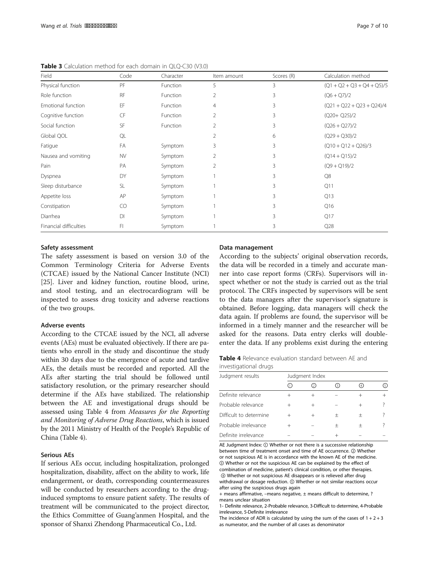| Field                  | Code      | Character | Item amount    | Scores (R) | Calculation method           |
|------------------------|-----------|-----------|----------------|------------|------------------------------|
| Physical function      | PF        | Function  | 5              | 3          | $(Q1 + Q2 + Q3 + Q4 + Q5)/5$ |
| Role function          | <b>RF</b> | Function  | 2              | 3          | $(Q6 + Q7)/2$                |
| Emotional function     | EF        | Function  | 4              | 3          | $(Q21 + Q22 + Q23 + Q24)/4$  |
| Cognitive function     | CF        | Function  | $\overline{2}$ | 3          | $(Q20+Q25)/2$                |
| Social function        | SF        | Function  | 2              | 3          | $(Q26 + Q27)/2$              |
| Global QOL             | QL        |           | 2              | 6          | $(Q29 + Q30)/2$              |
| Fatigue                | FA        | Symptom   | 3              | 3          | $(Q10 + Q12 + Q26)/3$        |
| Nausea and vomiting    | <b>NV</b> | Symptom   | 2              | 3          | $(Q14 + Q15)/2$              |
| Pain                   | PA        | Symptom   | 2              | 3          | $(Q9 + Q19)/2$               |
| Dyspnea                | DY        | Symptom   |                | 3          | Q8                           |
| Sleep disturbance      | SL        | Symptom   |                | 3          | Q11                          |
| Appetite loss          | AP        | Symptom   |                | 3          | Q13                          |
| Constipation           | CO        | Symptom   |                | 3          | Q16                          |
| Diarrhea               | D1        | Symptom   |                | 3          | Q17                          |
| Financial difficulties | FI        | Symptom   |                | 3          | Q28                          |

<span id="page-6-0"></span>Table 3 Calculation method for each domain in QLQ-C30 (V3.0)

### Safety assessment

The safety assessment is based on version 3.0 of the Common Terminology Criteria for Adverse Events (CTCAE) issued by the National Cancer Institute (NCI) [[25\]](#page-9-0). Liver and kidney function, routine blood, urine, and stool testing, and an electrocardiogram will be inspected to assess drug toxicity and adverse reactions of the two groups.

### Adverse events

According to the CTCAE issued by the NCI, all adverse events (AEs) must be evaluated objectively. If there are patients who enroll in the study and discontinue the study within 30 days due to the emergence of acute and tardive AEs, the details must be recorded and reported. All the AEs after starting the trial should be followed until satisfactory resolution, or the primary researcher should determine if the AEs have stabilized. The relationship between the AE and investigational drugs should be assessed using Table 4 from Measures for the Reporting and Monitoring of Adverse Drug Reactions, which is issued by the 2011 Ministry of Health of the People's Republic of China (Table 4).

### Serious AEs

If serious AEs occur, including hospitalization, prolonged hospitalization, disability, affect on the ability to work, life endangerment, or death, corresponding countermeasures will be conducted by researchers according to the druginduced symptoms to ensure patient safety. The results of treatment will be communicated to the project director, the Ethics Committee of Guang'anmen Hospital, and the sponsor of Shanxi Zhendong Pharmaceutical Co., Ltd.

### Data management

According to the subjects' original observation records, the data will be recorded in a timely and accurate manner into case report forms (CRFs). Supervisors will inspect whether or not the study is carried out as the trial protocol. The CRFs inspected by supervisors will be sent to the data managers after the supervisor's signature is obtained. Before logging, data managers will check the data again. If problems are found, the supervisor will be informed in a timely manner and the researcher will be asked for the reasons. Data entry clerks will doubleenter the data. If any problems exist during the entering

Table 4 Relevance evaluation standard between AE and investigational drugs

| Judgment results       | Judgment Index |  |      |        |    |  |  |  |
|------------------------|----------------|--|------|--------|----|--|--|--|
|                        |                |  | 3    |        | 3) |  |  |  |
| Definite relevance     |                |  |      |        |    |  |  |  |
| Probable relevance     |                |  |      | $\pm$  |    |  |  |  |
| Difficult to determine |                |  | $^+$ | $^{+}$ |    |  |  |  |
| Probable irrelevance   |                |  | $^+$ | $^+$   |    |  |  |  |
| Definite irrelevance   |                |  |      |        |    |  |  |  |

AE Judgment Index: ① Whether or not there is a successive relationship between time of treatment onset and time of AE occurrence. ② Whether or not suspicious AE is in accordance with the known AE of the medicine. ③ Whether or not the suspicious AE can be explained by the effect of combination of medicine, patient's clinical condition, or other therapies. ④ Whether or not suspicious AE disappears or is relieved after drug withdrawal or dosage reduction. ⑤ Whether or not similar reactions occur after using the suspicious drugs again

+ means affirmative, –means negative, ± means difficult to determine, ? means unclear situation

1- Definite relevance, 2-Probable relevance, 3-Difficult to determine, 4-Probable irrelevance, 5-Definite irrelevance

The incidence of ADR is calculated by using the sum of the cases of  $1 + 2 + 3$ as numerator, and the number of all cases as denominator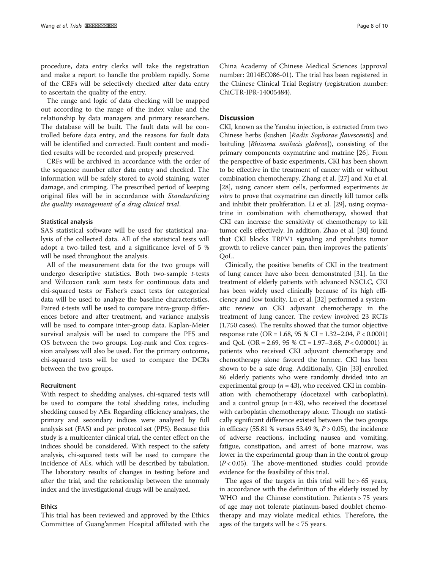procedure, data entry clerks will take the registration and make a report to handle the problem rapidly. Some of the CRFs will be selectively checked after data entry to ascertain the quality of the entry.

The range and logic of data checking will be mapped out according to the range of the index value and the relationship by data managers and primary researchers. The database will be built. The fault data will be controlled before data entry, and the reasons for fault data will be identified and corrected. Fault content and modified results will be recorded and properly preserved.

CRFs will be archived in accordance with the order of the sequence number after data entry and checked. The information will be safely stored to avoid staining, water damage, and crimping. The prescribed period of keeping original files will be in accordance with Standardizing the quality management of a drug clinical trial.

### Statistical analysis

SAS statistical software will be used for statistical analysis of the collected data. All of the statistical tests will adopt a two-tailed test, and a significance level of 5 % will be used throughout the analysis.

All of the measurement data for the two groups will undergo descriptive statistics. Both two-sample t-tests and Wilcoxon rank sum tests for continuous data and chi-squared tests or Fisher's exact tests for categorical data will be used to analyze the baseline characteristics. Paired t-tests will be used to compare intra-group differences before and after treatment, and variance analysis will be used to compare inter-group data. Kaplan-Meier survival analysis will be used to compare the PFS and OS between the two groups. Log-rank and Cox regression analyses will also be used. For the primary outcome, chi-squared tests will be used to compare the DCRs between the two groups.

### Recruitment

With respect to shedding analyses, chi-squared tests will be used to compare the total shedding rates, including shedding caused by AEs. Regarding efficiency analyses, the primary and secondary indices were analyzed by full analysis set (FAS) and per protocol set (PPS). Because this study is a multicenter clinical trial, the center effect on the indices should be considered. With respect to the safety analysis, chi-squared tests will be used to compare the incidence of AEs, which will be described by tabulation. The laboratory results of changes in testing before and after the trial, and the relationship between the anomaly index and the investigational drugs will be analyzed.

### Ethics

This trial has been reviewed and approved by the Ethics Committee of Guang'anmen Hospital affiliated with the

China Academy of Chinese Medical Sciences (approval number: 2014EC086-01). The trial has been registered in the Chinese Clinical Trial Registry (registration number: ChiCTR-IPR-14005484).

### **Discussion**

CKI, known as the Yanshu injection, is extracted from two Chinese herbs (kushen [Radix Sophorae flavescentis] and baituling [Rhizoma smilacis glabrae]), consisting of the primary components oxymatrine and matrine [\[26\]](#page-9-0). From the perspective of basic experiments, CKI has been shown to be effective in the treatment of cancer with or without combination chemotherapy. Zhang et al. [\[27\]](#page-9-0) and Xu et al. [[28](#page-9-0)], using cancer stem cells, performed experiments in vitro to prove that oxymatrine can directly kill tumor cells and inhibit their proliferation. Li et al. [[29\]](#page-9-0), using oxymatrine in combination with chemotherapy, showed that CKI can increase the sensitivity of chemotherapy to kill tumor cells effectively. In addition, Zhao et al. [[30\]](#page-9-0) found that CKI blocks TRPV1 signaling and prohibits tumor growth to relieve cancer pain, then improves the patients' QoL.

Clinically, the positive benefits of CKI in the treatment of lung cancer have also been demonstrated [[31](#page-9-0)]. In the treatment of elderly patients with advanced NSCLC, CKI has been widely used clinically because of its high efficiency and low toxicity. Lu et al. [\[32\]](#page-9-0) performed a systematic review on CKI adjuvant chemotherapy in the treatment of lung cancer. The review involved 23 RCTs (1,750 cases). The results showed that the tumor objective response rate (OR = 1.68, 95 % CI = 1.32–2.04,  $P < 0.0001$ ) and QoL (OR = 2.69, 95 % CI = 1.97–3.68,  $P < 0.00001$ ) in patients who received CKI adjuvant chemotherapy and chemotherapy alone favored the former. CKI has been shown to be a safe drug. Additionally, Qin [\[33\]](#page-9-0) enrolled 86 elderly patients who were randomly divided into an experimental group ( $n = 43$ ), who received CKI in combination with chemotherapy (docetaxel with carboplatin), and a control group ( $n = 43$ ), who received the docetaxel with carboplatin chemotherapy alone. Though no statistically significant difference existed between the two groups in efficacy (55.81 % versus 53.49 %,  $P > 0.05$ ), the incidence of adverse reactions, including nausea and vomiting, fatigue, constipation, and arrest of bone marrow, was lower in the experimental group than in the control group  $(P < 0.05)$ . The above-mentioned studies could provide evidence for the feasibility of this trial.

The ages of the targets in this trial will be  $> 65$  years, in accordance with the definition of the elderly issued by WHO and the Chinese constitution. Patients > 75 years of age may not tolerate platinum-based doublet chemotherapy and may violate medical ethics. Therefore, the ages of the targets will be < 75 years.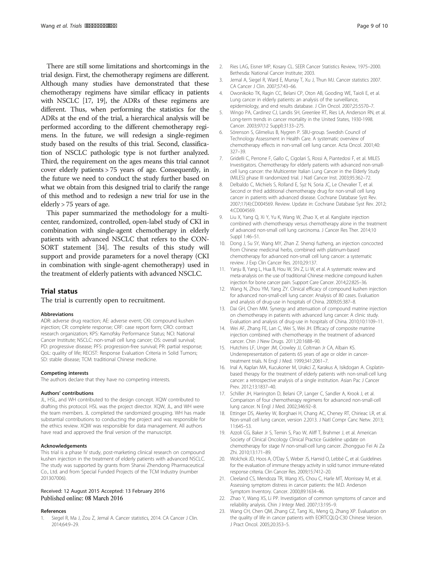<span id="page-8-0"></span>There are still some limitations and shortcomings in the trial design. First, the chemotherapy regimens are different. Although many studies have demonstrated that these chemotherapy regimens have similar efficacy in patients with NSCLC [17, 19], the ADRs of these regimens are different. Thus, when performing the statistics for the ADRs at the end of the trial, a hierarchical analysis will be performed according to the different chemotherapy regimens. In the future, we will redesign a single-regimen study based on the results of this trial. Second, classification of NSCLC pathologic type is not further analyzed. Third, the requirement on the ages means this trial cannot cover elderly patients > 75 years of age. Consequently, in the future we need to conduct the study further based on what we obtain from this designed trial to clarify the range of this method and to redesign a new trial for use in the elderly > 75 years of age.

This paper summarized the methodology for a multicenter, randomized, controlled, open-label study of CKI in combination with single-agent chemotherapy in elderly patients with advanced NSCLC that refers to the CON-SORT statement [\[34\]](#page-9-0). The results of this study will support and provide parameters for a novel therapy (CKI in combination with single-agent chemotherapy) used in the treatment of elderly patients with advanced NSCLC.

### Trial status

The trial is currently open to recruitment.

### Abbreviations

ADR: adverse drug reaction; AE: adverse event; CKI: compound kushen injection; CR: complete response; CRF: case report form; CRO: contract research organization; KPS: Karnofsky Performance Status; NCI: National Cancer Institute; NSCLC: non-small cell lung cancer; OS: overall survival; PD: progressive disease; PFS: progression-free survival; PR: partial response; QoL: quality of life; RECIST: Response Evaluation Criteria in Solid Tumors; SD: stable disease; TCM: traditional Chinese medicine.

### Competing interests

The authors declare that they have no competing interests.

### Authors' contributions

JL, HSL, and WH contributed to the design concept. XQW contributed to drafting this protocol. HSL was the project director. XQW, JL, and WH were the team members. JL completed the randomized grouping. WH has made substantial contributions to conducting the project and was responsible for the ethics review. XQW was responsible for data management. All authors have read and approved the final version of the manuscript.

### Acknowledgements

This trial is a phase IV study, post-marketing clinical research on compound kushen injection in the treatment of elderly patients with advanced NSCLC. The study was supported by grants from Shanxi Zhendong Pharmaceutical Co., Ltd. and from Special Funded Projects of the TCM Industry (number 201307006).

### Received: 12 August 2015 Accepted: 13 February 2016 Published online: 08 March 2016

### References

1. Siegel R, Ma J, Zou Z, Jemal A. Cancer statistics, 2014. CA Cancer J Clin. 2014;64:9–29.

- 2. Ries LAG, Eisner MP, Kosary CL. SEER Cancer Statistics Review, 1975–2000. Bethesda: National Cancer Institute; 2003.
- 3. Jemal A, Siegel R, Ward E, Murray T, Xu J, Thun MJ. Cancer statistics 2007. CA Cancer J Clin. 2007;57:43–66.
- 4. Owonikoko TK, Ragin CC, Belani CP, Oton AB, Gooding WE, Taioli E, et al. Lung cancer in elderly patients: an analysis of the surveillance, epidemiology, and end results database. J Clin Oncol. 2007;25:5570–7.
- 5. Wingo PA, Cardinez CJ, Landis SH, Greenlee RT, Ries LA, Anderson RN, et al. Long-term trends in cancer mortality in the United States, 1930-1998. Cancer. 2003;97(12 Suppl):3133–275.
- 6. Sörenson S, Glimelius B, Nygren P. SBU-group. Swedish Council of Technology Assessment in Health Care. A systematic overview of chemotherapy effects in non-small cell lung cancer. Acta Oncol. 2001;40: 327–39.
- 7. Gridelli C, Perrone F, Gallo C, Cigolari S, Rossi A, Piantedosi F, et al. MILES Investigators. Chemotherapy for elderly patients with advanced non-smallcell lung cancer: the Multicenter Italian Lung Cancer in the Elderly Study (MILES) phase III randomized trial. J Natl Cancer Inst. 2003;95:362–72.
- 8. Delbaldo C, Michiels S, Rolland E, Syz N, Soria JC, Le Chevalier T, et al. Second or third additional chemotherapy drug for non-small cell lung cancer in patients with advanced disease. Cochrane Database Syst Rev. 2007;17(4):CD004569. Review. Update in: Cochrane Database Syst Rev. 2012; 4:CD004569.
- 9. Liu X, Yang Q, Xi Y, Yu K, Wang W, Zhao X, et al. Kanglaite injection combined with chemotherapy versus chemotherapy alone in the treatment of advanced non-small cell lung carcinoma. J Cancer Res Ther. 2014;10 Suppl 1:46–51.
- 10. Dong J, Su SY, Wang MY, Zhan Z. Shenqi fuzheng, an injection concocted from Chinese medicinal herbs, combined with platinum-based chemotherapy for advanced non-small cell lung cancer: a systematic review. J Exp Clin Cancer Res. 2010;29:137.
- 11. Yanju B, Yang L, Hua B, Hou W, Shi Z, Li W, et al. A systematic review and meta-analysis on the use of traditional Chinese medicine compound kushen injection for bone cancer pain. Support Care Cancer. 2014;22:825–36.
- 12. Wang N, Zhou YM, Yang ZY. Clinical efficacy of compound kushen injection for advanced non-small-cell lung cancer: Analysis of 80 cases. Evaluation and analysis of drug-use in hospitals of China. 2009;05:387–8.
- 13. Dai GH, Chen MM. Synergy and attenuation of compound matrine injection on chemotherapy in patients with advanced lung cancer: A clinic study. Evaluation and analysis of drug-use in hospitals of China. 2010;10:1109–11.
- 14. Wei AF, Zhang FE, Lan C, Wei S, Wei JH. Efficacy of composite matrine injection combined with chemotherapy in the treatment of advanced cancer. Chin J New Drugs. 2011;20:1688–90.
- 15. Hutchins LF, Unger JM, Crowley JJ, Coltman Jr CA, Albain KS. Underrepresentation of patients 65 years of age or older in cancertreatment trials. N Engl J Med. 1999;341:2061–7.
- 16. Inal A, Kaplan MA, Kucukoner M, Urakci Z, Karakus A, Isikdogan A. Cisplatinbased therapy for the treatment of elderly patients with non-small-cell lung cancer: a retrospective analysis of a single institution. Asian Pac J Cancer Prev. 2012;13:1837–40.
- 17. Schiller JH, Harrington D, Belani CP, Langer C, Sandler A, Krook J, et al. Comparison of four chemotherapy regimens for advanced non-small-cell lung cancer. N Engl J Med. 2002;346:92–8.
- 18. Ettinger DS, Akerley W, Borghaei H, Chang AC, Cheney RT, Chirieac LR, et al. Non-small cell lung cancer, version 2.2013. J Natl Compr Canc Netw. 2013; 11:645–53.
- 19. Azzoli CG, Baker Jr S, Temin S, Pao W, Aliff T, Brahmer J, et al. American Society of Clinical Oncology Clinical Practice Guideline update on chemotherapy for stage IV non-small-cell lung cancer. Zhongguo Fei Ai Za Zhi. 2010;13:171–89.
- 20. Wolchok JD, Hoos A, O'Day S, Weber JS, Hamid O, Lebbé C, et al. Guidelines for the evaluation of immune therapy activity in solid tumor: immune-related response criteria. Clin Cancer Res. 2009;15:7412–20.
- 21. Cleeland CS, Mendoza TR, Wang XS, Chou C, Harle MT, Morrissey M, et al. Assessing symptom distress in cancer patients: the M.D. Anderson Symptom Inventory. Cancer. 2000;89:1634–46.
- 22. Zhao Y, Wang XS, Li PP. Investigation of common symptoms of cancer and reliability analysis. Chin J Integr Med. 2007;13:195–9.
- 23. Wang CH, Chen QM, Zhang CZ, Tang XL, Meng Q, Zhang XP. Evaluation on the quality of life in cancer patients with EORTCQLQ-C30 Chinese Version. J Pract Oncol. 2005;20:353–5.